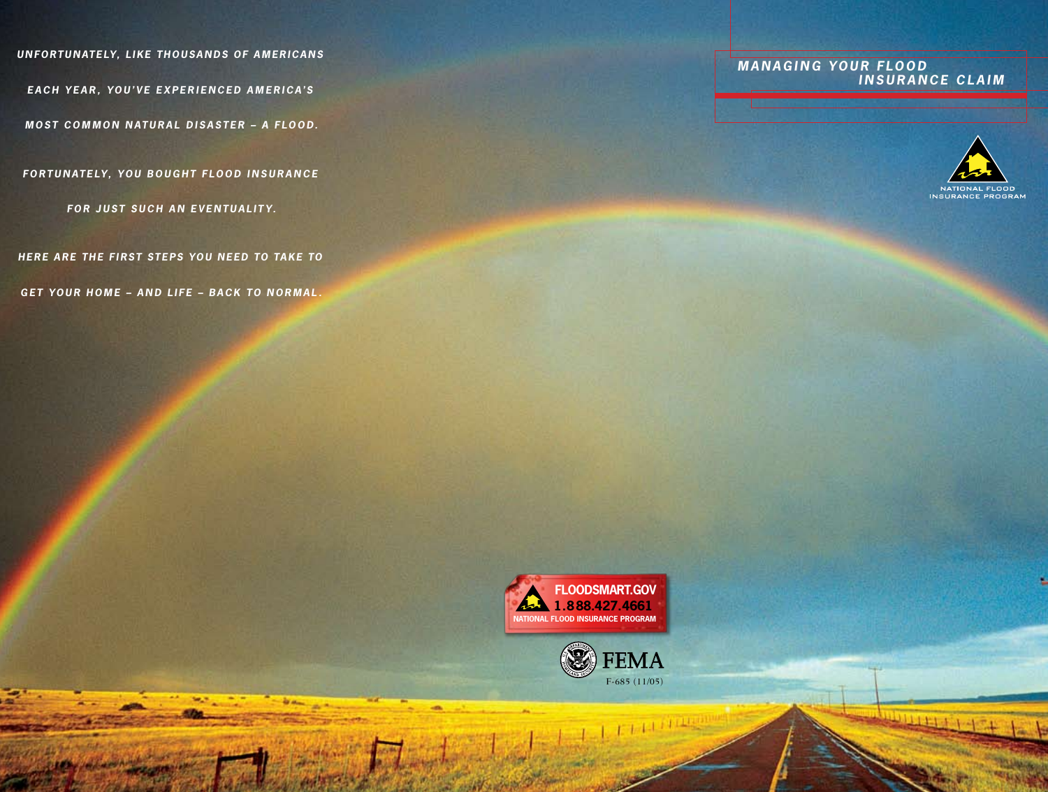UNFORTUNATELY, LIKE THOUSANDS OF AMERICANS

EACH YEAR, YOU'VE EXPERIENCED AMERICA'S

MOST COMMON NATURAL DISASTER - A FLOOD.

FORTUNATELY, YOU BOUGHT FLOOD INSURANCE

FOR JUST SUCH AN EVENTUALITY.

HERE ARE THE FIRST STEPS YOU NEED TO TAKE TO

GET YOUR HOME - AND LIFE - BACK TO NORMAL.

### **MANAGING YOUR FLOOD INSURANCE CLAIM**



**DEPT ET FOR ALL** 





L I III (TELLINGE